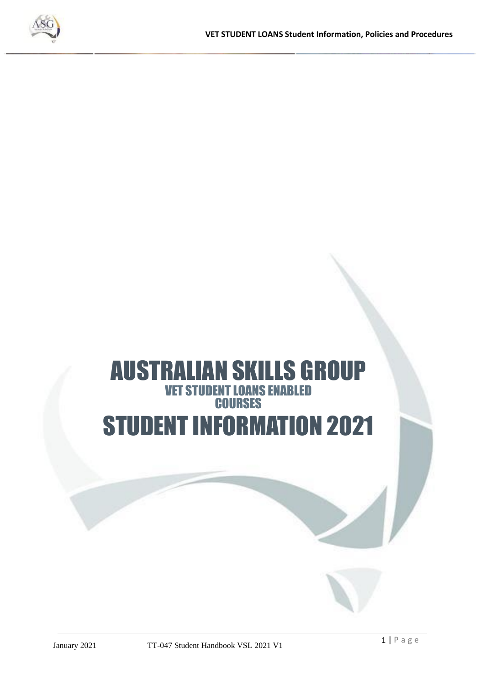

# AUSTRALIAN SKILLS GROUP VET STUDENT LOANS ENABLED **COURSES** STUDENT INFORMATION 2021

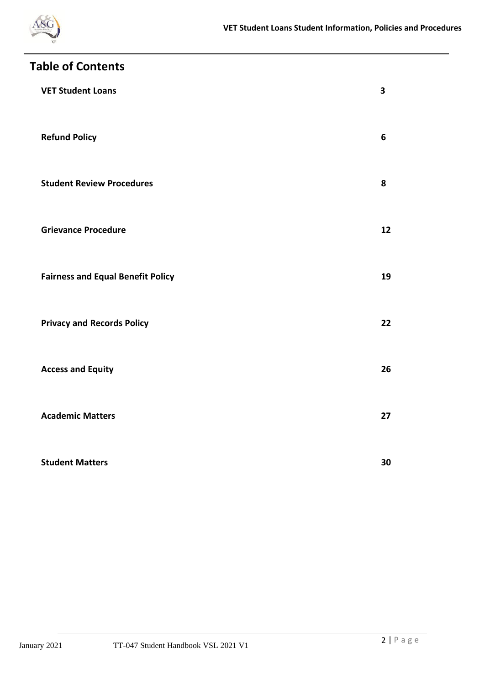

| <b>Table of Contents</b> |                                          |                         |
|--------------------------|------------------------------------------|-------------------------|
|                          | <b>VET Student Loans</b>                 | $\overline{\mathbf{3}}$ |
|                          | <b>Refund Policy</b>                     | $6\phantom{1}$          |
|                          | <b>Student Review Procedures</b>         | 8                       |
|                          | <b>Grievance Procedure</b>               | 12                      |
|                          | <b>Fairness and Equal Benefit Policy</b> | 19                      |
|                          | <b>Privacy and Records Policy</b>        | 22                      |
|                          | <b>Access and Equity</b>                 | 26                      |
|                          | <b>Academic Matters</b>                  | 27                      |
|                          | <b>Student Matters</b>                   | 30                      |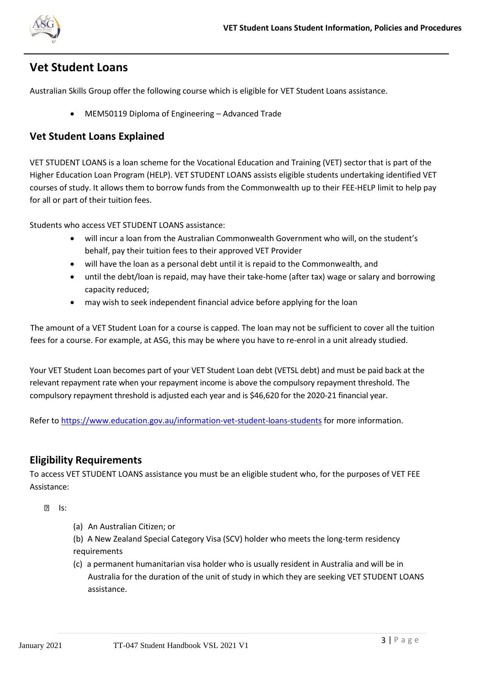

# **Vet Student Loans**

Australian Skills Group offer the following course which is eligible for VET Student Loans assistance.

• MEM50119 Diploma of Engineering – Advanced Trade

### **Vet Student Loans Explained**

VET STUDENT LOANS is a loan scheme for the Vocational Education and Training (VET) sector that is part of the Higher Education Loan Program (HELP). VET STUDENT LOANS assists eligible students undertaking identified VET courses of study. It allows them to borrow funds from the Commonwealth up to their FEE-HELP limit to help pay for all or part of their tuition fees.

Students who access VET STUDENT LOANS assistance:

- will incur a loan from the Australian Commonwealth Government who will, on the student's behalf, pay their tuition fees to their approved VET Provider
- will have the loan as a personal debt until it is repaid to the Commonwealth, and
- until the debt/loan is repaid, may have their take-home (after tax) wage or salary and borrowing capacity reduced;
- may wish to seek independent financial advice before applying for the loan

The amount of a VET Student Loan for a course is capped. The loan may not be sufficient to cover all the tuition fees for a course. For example, at ASG, this may be where you have to re-enrol in a unit already studied.

Your VET Student Loan becomes part of your VET Student Loan debt (VETSL debt) and must be paid back at the relevant repayment rate when your repayment income is above the compulsory repayment threshold. The compulsory repayment threshold is adjusted each year and is \$46,620 for the 2020-21 financial year.

Refer to<https://www.education.gov.au/information-vet-student-loans-students> for more information.

# **Eligibility Requirements**

To access VET STUDENT LOANS assistance you must be an eligible student who, for the purposes of VET FEE Assistance:

 $R = 1s$ :

- (a) An Australian Citizen; or
- (b) A New Zealand Special Category Visa (SCV) holder who meets the long-term residency requirements
- (c) a permanent humanitarian visa holder who is usually resident in Australia and will be in Australia for the duration of the unit of study in which they are seeking VET STUDENT LOANS assistance.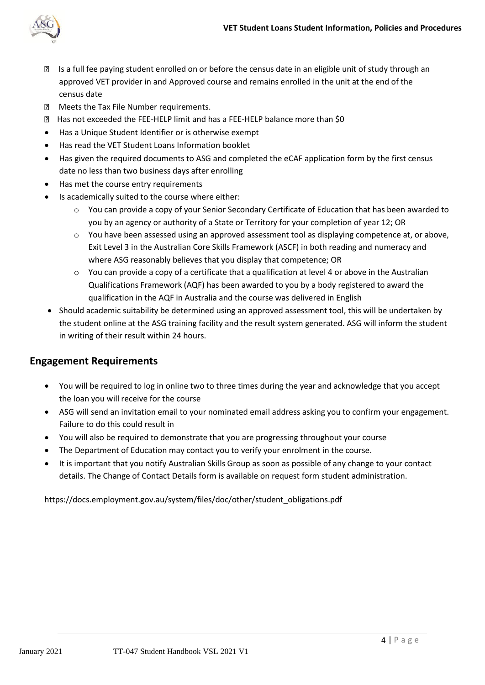

- Is a full fee paying student enrolled on or before the census date in an eligible unit of study through an approved VET provider in and Approved course and remains enrolled in the unit at the end of the census date
- **2** Meets the Tax File Number requirements.
- **E** Has not exceeded the FEE-HELP limit and has a FEE-HELP balance more than \$0
- Has a Unique Student Identifier or is otherwise exempt
- Has read the VET Student Loans Information booklet
- Has given the required documents to ASG and completed the eCAF application form by the first census date no less than two business days after enrolling
- Has met the course entry requirements
- Is academically suited to the course where either:
	- $\circ$  You can provide a copy of your Senior Secondary Certificate of Education that has been awarded to you by an agency or authority of a State or Territory for your completion of year 12; OR
	- o You have been assessed using an approved assessment tool as displaying competence at, or above, Exit Level 3 in the Australian Core Skills Framework (ASCF) in both reading and numeracy and where ASG reasonably believes that you display that competence; OR
	- $\circ$  You can provide a copy of a certificate that a qualification at level 4 or above in the Australian Qualifications Framework (AQF) has been awarded to you by a body registered to award the qualification in the AQF in Australia and the course was delivered in English
- Should academic suitability be determined using an approved assessment tool, this will be undertaken by the student online at the ASG training facility and the result system generated. ASG will inform the student in writing of their result within 24 hours.

# **Engagement Requirements**

- You will be required to log in online two to three times during the year and acknowledge that you accept the loan you will receive for the course
- ASG will send an invitation email to your nominated email address asking you to confirm your engagement. Failure to do this could result in
- You will also be required to demonstrate that you are progressing throughout your course
- The Department of Education may contact you to verify your enrolment in the course.
- It is important that you notify Australian Skills Group as soon as possible of any change to your contact details. The Change of Contact Details form is available on request form student administration.

[https://docs.employment.gov.au/system/files/doc/other/student\\_obligations.pdf](https://docs.employment.gov.au/system/files/doc/other/student_obligations.pdf)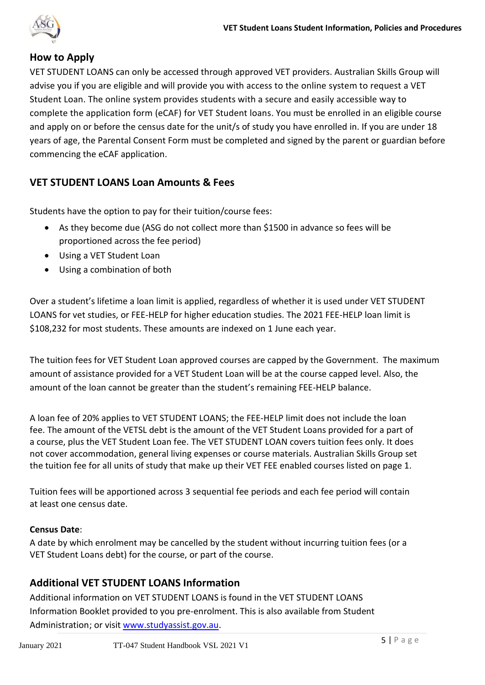

# **How to Apply**

VET STUDENT LOANS can only be accessed through approved VET providers. Australian Skills Group will advise you if you are eligible and will provide you with access to the online system to request a VET Student Loan. The online system provides students with a secure and easily accessible way to complete the application form (eCAF) for VET Student loans. You must be enrolled in an eligible course and apply on or before the census date for the unit/s of study you have enrolled in. If you are under 18 years of age, the Parental Consent Form must be completed and signed by the parent or guardian before commencing the eCAF application.

# **VET STUDENT LOANS Loan Amounts & Fees**

Students have the option to pay for their tuition/course fees:

- As they become due (ASG do not collect more than \$1500 in advance so fees will be proportioned across the fee period)
- Using a VET Student Loan
- Using a combination of both

Over a student's lifetime a loan limit is applied, regardless of whether it is used under VET STUDENT LOANS for vet studies, or FEE-HELP for higher education studies. The 2021 FEE-HELP loan limit is \$108,232 for most students. These amounts are indexed on 1 June each year.

The tuition fees for VET Student Loan approved courses are capped by the Government. The maximum amount of assistance provided for a VET Student Loan will be at the course capped level. Also, the amount of the loan cannot be greater than the student's remaining FEE-HELP balance.

A loan fee of 20% applies to VET STUDENT LOANS; the FEE-HELP limit does not include the loan fee. The amount of the VETSL debt is the amount of the VET Student Loans provided for a part of a course, plus the VET Student Loan fee. The VET STUDENT LOAN covers tuition fees only. It does not cover accommodation, general living expenses or course materials. Australian Skills Group set the tuition fee for all units of study that make up their VET FEE enabled courses listed on page 1.

Tuition fees will be apportioned across 3 sequential fee periods and each fee period will contain at least one census date.

#### **Census Date**:

A date by which enrolment may be cancelled by the student without incurring tuition fees (or a VET Student Loans debt) for the course, or part of the course.

# **Additional VET STUDENT LOANS Information**

Additional information on VET STUDENT LOANS is found in the VET STUDENT LOANS Information Booklet provided to you pre-enrolment. This is also available from Student Administration; or visit [www.studyassist.gov.au.](http://www.studyassist.gov.au/)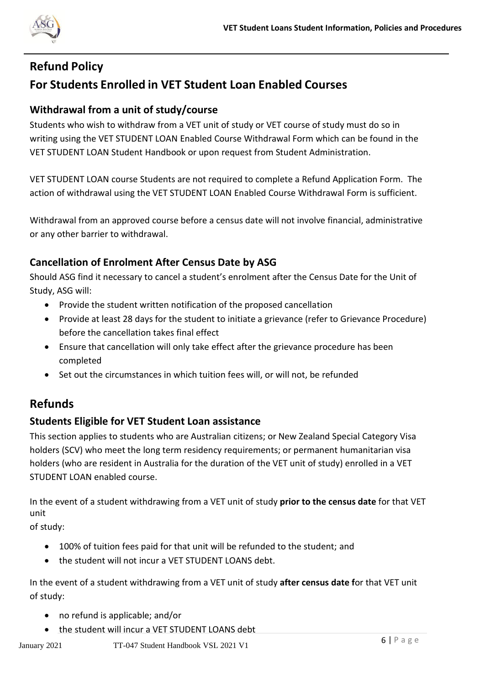

# **Refund Policy For Students Enrolled in VET Student Loan Enabled Courses**

# **Withdrawal from a unit of study/course**

Students who wish to withdraw from a VET unit of study or VET course of study must do so in writing using the VET STUDENT LOAN Enabled Course Withdrawal Form which can be found in the VET STUDENT LOAN Student Handbook or upon request from Student Administration.

VET STUDENT LOAN course Students are not required to complete a Refund Application Form. The action of withdrawal using the VET STUDENT LOAN Enabled Course Withdrawal Form is sufficient.

Withdrawal from an approved course before a census date will not involve financial, administrative or any other barrier to withdrawal.

# **Cancellation of Enrolment After Census Date by ASG**

Should ASG find it necessary to cancel a student's enrolment after the Census Date for the Unit of Study, ASG will:

- Provide the student written notification of the proposed cancellation
- Provide at least 28 days for the student to initiate a grievance (refer to Grievance Procedure) before the cancellation takes final effect
- Ensure that cancellation will only take effect after the grievance procedure has been completed
- Set out the circumstances in which tuition fees will, or will not, be refunded

# **Refunds**

# **Students Eligible for VET Student Loan assistance**

This section applies to students who are Australian citizens; or New Zealand Special Category Visa holders (SCV) who meet the long term residency requirements; or permanent humanitarian visa holders (who are resident in Australia for the duration of the VET unit of study) enrolled in a VET STUDENT LOAN enabled course.

In the event of a student withdrawing from a VET unit of study **prior to the census date** for that VET unit

of study:

- 100% of tuition fees paid for that unit will be refunded to the student; and
- the student will not incur a VET STUDENT LOANS debt.

In the event of a student withdrawing from a VET unit of study **after census date f**or that VET unit of study:

- no refund is applicable; and/or
- the student will incur a VET STUDENT LOANS debt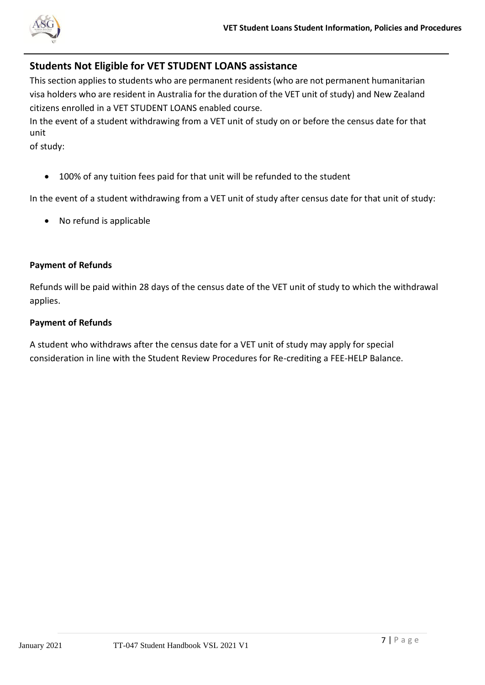

# **Students Not Eligible for VET STUDENT LOANS assistance**

This section applies to students who are permanent residents (who are not permanent humanitarian visa holders who are resident in Australia for the duration of the VET unit of study) and New Zealand citizens enrolled in a VET STUDENT LOANS enabled course.

In the event of a student withdrawing from a VET unit of study on or before the census date for that unit

of study:

• 100% of any tuition fees paid for that unit will be refunded to the student

In the event of a student withdrawing from a VET unit of study after census date for that unit of study:

• No refund is applicable

#### **Payment of Refunds**

Refunds will be paid within 28 days of the census date of the VET unit of study to which the withdrawal applies.

#### **Payment of Refunds**

A student who withdraws after the census date for a VET unit of study may apply for special consideration in line with the Student Review Procedures for Re-crediting a FEE-HELP Balance.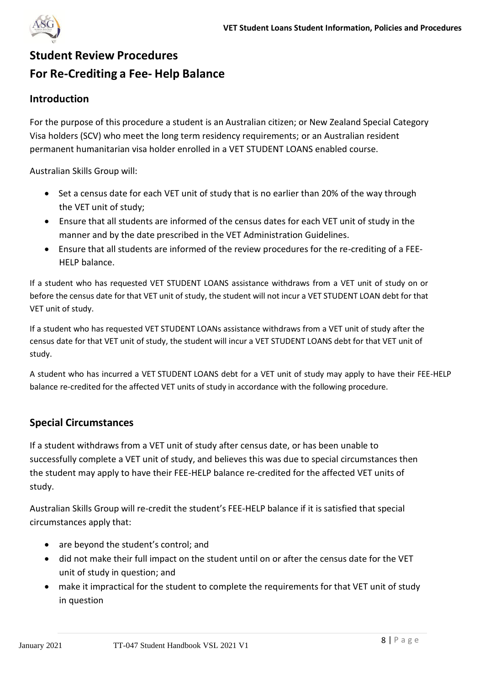

# **Student Review Procedures For Re-Crediting a Fee- Help Balance**

# **Introduction**

For the purpose of this procedure a student is an Australian citizen; or New Zealand Special Category Visa holders (SCV) who meet the long term residency requirements; or an Australian resident permanent humanitarian visa holder enrolled in a VET STUDENT LOANS enabled course.

Australian Skills Group will:

- Set a census date for each VET unit of study that is no earlier than 20% of the way through the VET unit of study;
- Ensure that all students are informed of the census dates for each VET unit of study in the manner and by the date prescribed in the VET Administration Guidelines.
- Ensure that all students are informed of the review procedures for the re-crediting of a FEE-HELP balance.

If a student who has requested VET STUDENT LOANS assistance withdraws from a VET unit of study on or before the census date for that VET unit of study, the student will not incur a VET STUDENT LOAN debt for that VET unit of study.

If a student who has requested VET STUDENT LOANs assistance withdraws from a VET unit of study after the census date for that VET unit of study, the student will incur a VET STUDENT LOANS debt for that VET unit of study.

A student who has incurred a VET STUDENT LOANS debt for a VET unit of study may apply to have their FEE-HELP balance re-credited for the affected VET units of study in accordance with the following procedure.

# **Special Circumstances**

If a student withdraws from a VET unit of study after census date, or has been unable to successfully complete a VET unit of study, and believes this was due to special circumstances then the student may apply to have their FEE-HELP balance re-credited for the affected VET units of study.

Australian Skills Group will re-credit the student's FEE-HELP balance if it is satisfied that special circumstances apply that:

- are beyond the student's control; and
- did not make their full impact on the student until on or after the census date for the VET unit of study in question; and
- make it impractical for the student to complete the requirements for that VET unit of study in question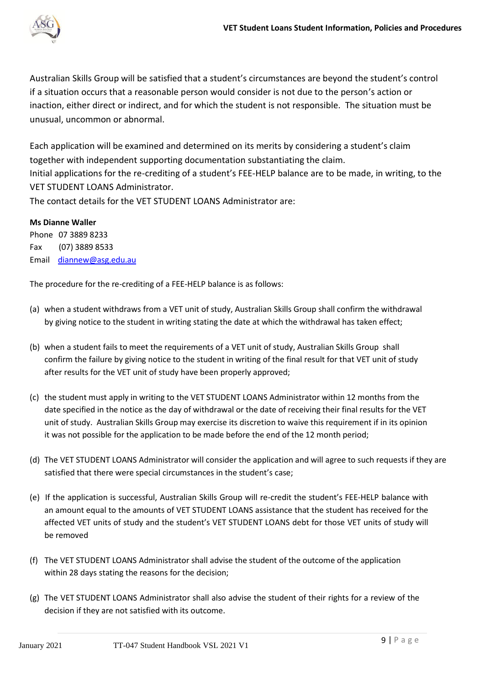

Australian Skills Group will be satisfied that a student's circumstances are beyond the student's control if a situation occurs that a reasonable person would consider is not due to the person's action or inaction, either direct or indirect, and for which the student is not responsible. The situation must be unusual, uncommon or abnormal.

Each application will be examined and determined on its merits by considering a student's claim together with independent supporting documentation substantiating the claim. Initial applications for the re-crediting of a student's FEE-HELP balance are to be made, in writing, to the VET STUDENT LOANS Administrator. The contact details for the VET STUDENT LOANS Administrator are:

**Ms Dianne Waller**

Phone 07 3889 8233 Fax (07) 3889 8533 Email diannew@asg.edu.au

The procedure for the re-crediting of a FEE-HELP balance is as follows:

- (a) when a student withdraws from a VET unit of study, Australian Skills Group shall confirm the withdrawal by giving notice to the student in writing stating the date at which the withdrawal has taken effect;
- (b) when a student fails to meet the requirements of a VET unit of study, Australian Skills Group shall confirm the failure by giving notice to the student in writing of the final result for that VET unit of study after results for the VET unit of study have been properly approved;
- (c) the student must apply in writing to the VET STUDENT LOANS Administrator within 12 months from the date specified in the notice as the day of withdrawal or the date of receiving their final results for the VET unit of study. Australian Skills Group may exercise its discretion to waive this requirement if in its opinion it was not possible for the application to be made before the end of the 12 month period;
- (d) The VET STUDENT LOANS Administrator will consider the application and will agree to such requests if they are satisfied that there were special circumstances in the student's case;
- (e) If the application is successful, Australian Skills Group will re-credit the student's FEE-HELP balance with an amount equal to the amounts of VET STUDENT LOANS assistance that the student has received for the affected VET units of study and the student's VET STUDENT LOANS debt for those VET units of study will be removed
- (f) The VET STUDENT LOANS Administrator shall advise the student of the outcome of the application within 28 days stating the reasons for the decision;
- (g) The VET STUDENT LOANS Administrator shall also advise the student of their rights for a review of the decision if they are not satisfied with its outcome.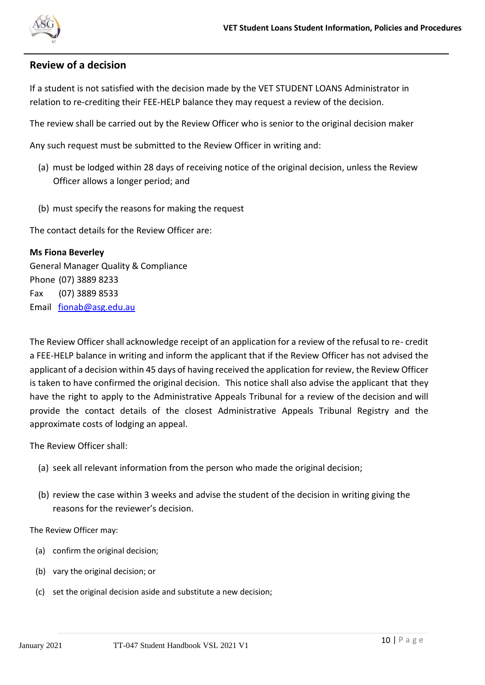

#### **Review of a decision**

If a student is not satisfied with the decision made by the VET STUDENT LOANS Administrator in relation to re-crediting their FEE-HELP balance they may request a review of the decision.

The review shall be carried out by the Review Officer who is senior to the original decision maker

Any such request must be submitted to the Review Officer in writing and:

- (a) must be lodged within 28 days of receiving notice of the original decision, unless the Review Officer allows a longer period; and
- (b) must specify the reasons for making the request

The contact details for the Review Officer are:

#### **Ms Fiona Beverley**

General Manager Quality & Compliance Phone (07) 3889 8233 Fax (07) 3889 8533 Email fionab@asg.edu.au

The Review Officer shall acknowledge receipt of an application for a review of the refusal to re- credit a FEE-HELP balance in writing and inform the applicant that if the Review Officer has not advised the applicant of a decision within 45 days of having received the application forreview, the Review Officer is taken to have confirmed the original decision. This notice shall also advise the applicant that they have the right to apply to the Administrative Appeals Tribunal for a review of the decision and will provide the contact details of the closest Administrative Appeals Tribunal Registry and the approximate costs of lodging an appeal.

The Review Officer shall:

- (a) seek all relevant information from the person who made the original decision;
- (b) review the case within 3 weeks and advise the student of the decision in writing giving the reasons for the reviewer's decision.

The Review Officer may:

- (a) confirm the original decision;
- (b) vary the original decision; or
- (c) set the original decision aside and substitute a new decision;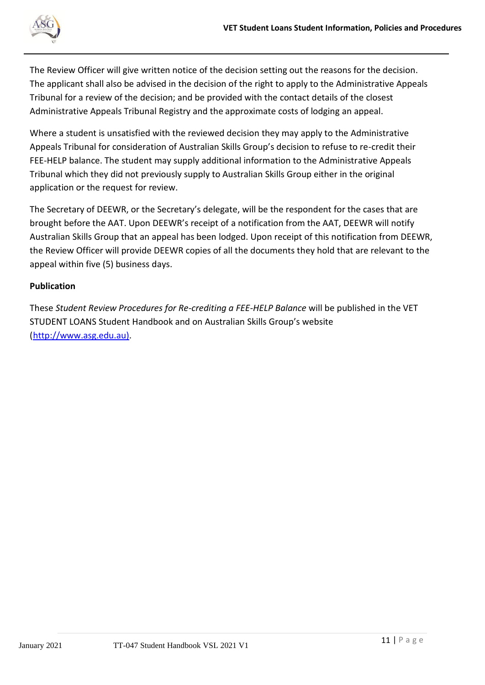

The Review Officer will give written notice of the decision setting out the reasons for the decision. The applicant shall also be advised in the decision of the right to apply to the Administrative Appeals Tribunal for a review of the decision; and be provided with the contact details of the closest Administrative Appeals Tribunal Registry and the approximate costs of lodging an appeal.

Where a student is unsatisfied with the reviewed decision they may apply to the Administrative Appeals Tribunal for consideration of Australian Skills Group's decision to refuse to re-credit their FEE-HELP balance. The student may supply additional information to the Administrative Appeals Tribunal which they did not previously supply to Australian Skills Group either in the original application or the request for review.

The Secretary of DEEWR, or the Secretary's delegate, will be the respondent for the cases that are brought before the AAT. Upon DEEWR's receipt of a notification from the AAT, DEEWR will notify Australian Skills Group that an appeal has been lodged. Upon receipt of this notification from DEEWR, the Review Officer will provide DEEWR copies of all the documents they hold that are relevant to the appeal within five (5) business days.

#### **Publication**

These *Student Review Procedures for Re-crediting a FEE-HELP Balance* will be published in the VET STUDENT LOANS Student Handbook and on Australian Skills Group's website [\(http://www.asg.edu.au\).](http://www.asg.edu.au)/)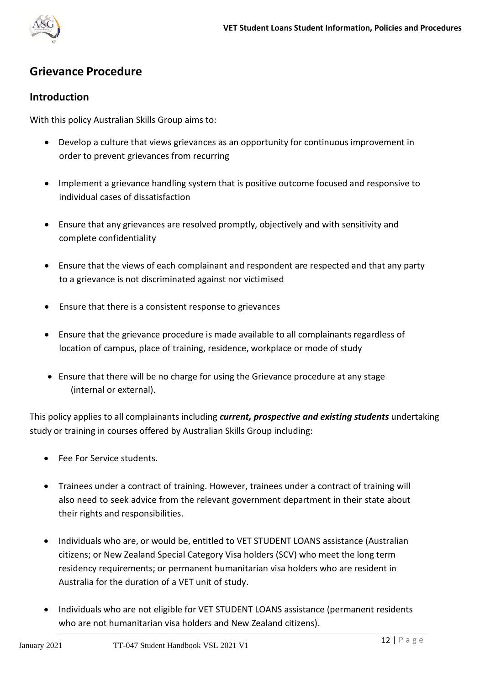

# **Grievance Procedure**

#### **Introduction**

With this policy Australian Skills Group aims to:

- Develop a culture that views grievances as an opportunity for continuous improvement in order to prevent grievances from recurring
- Implement a grievance handling system that is positive outcome focused and responsive to individual cases of dissatisfaction
- Ensure that any grievances are resolved promptly, objectively and with sensitivity and complete confidentiality
- Ensure that the views of each complainant and respondent are respected and that any party to a grievance is not discriminated against nor victimised
- Ensure that there is a consistent response to grievances
- Ensure that the grievance procedure is made available to all complainants regardless of location of campus, place of training, residence, workplace or mode of study
- Ensure that there will be no charge for using the Grievance procedure at any stage (internal or external).

This policy applies to all complainants including *current, prospective and existing students* undertaking study or training in courses offered by Australian Skills Group including:

- Fee For Service students.
- Trainees under a contract of training. However, trainees under a contract of training will also need to seek advice from the relevant government department in their state about their rights and responsibilities.
- Individuals who are, or would be, entitled to VET STUDENT LOANS assistance (Australian citizens; or New Zealand Special Category Visa holders (SCV) who meet the long term residency requirements; or permanent humanitarian visa holders who are resident in Australia for the duration of a VET unit of study.
- Individuals who are not eligible for VET STUDENT LOANS assistance (permanent residents who are not humanitarian visa holders and New Zealand citizens).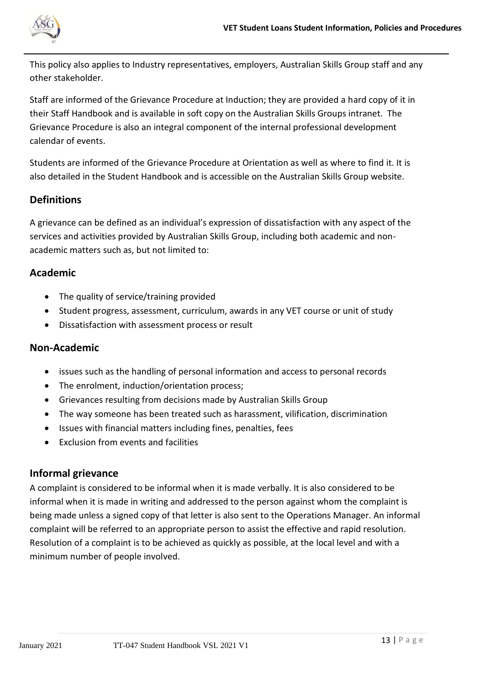

This policy also applies to Industry representatives, employers, Australian Skills Group staff and any other stakeholder.

Staff are informed of the Grievance Procedure at Induction; they are provided a hard copy of it in their Staff Handbook and is available in soft copy on the Australian Skills Groups intranet. The Grievance Procedure is also an integral component of the internal professional development calendar of events.

Students are informed of the Grievance Procedure at Orientation as well as where to find it. It is also detailed in the Student Handbook and is accessible on the Australian Skills Group website.

# **Definitions**

A grievance can be defined as an individual's expression of dissatisfaction with any aspect of the services and activities provided by Australian Skills Group, including both academic and nonacademic matters such as, but not limited to:

#### **Academic**

- The quality of service/training provided
- Student progress, assessment, curriculum, awards in any VET course or unit of study
- Dissatisfaction with assessment process or result

### **Non-Academic**

- issues such as the handling of personal information and access to personal records
- The enrolment, induction/orientation process;
- Grievances resulting from decisions made by Australian Skills Group
- The way someone has been treated such as harassment, vilification, discrimination
- Issues with financial matters including fines, penalties, fees
- Exclusion from events and facilities

#### **Informal grievance**

A complaint is considered to be informal when it is made verbally. It is also considered to be informal when it is made in writing and addressed to the person against whom the complaint is being made unless a signed copy of that letter is also sent to the Operations Manager. An informal complaint will be referred to an appropriate person to assist the effective and rapid resolution. Resolution of a complaint is to be achieved as quickly as possible, at the local level and with a minimum number of people involved.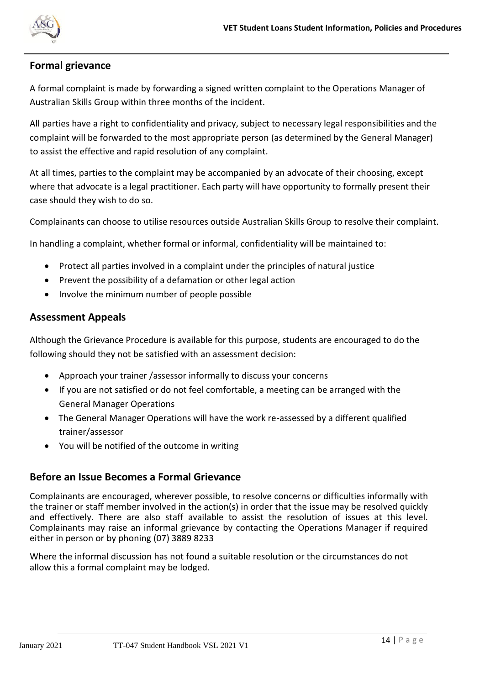

# **Formal grievance**

A formal complaint is made by forwarding a signed written complaint to the Operations Manager of Australian Skills Group within three months of the incident.

All parties have a right to confidentiality and privacy, subject to necessary legal responsibilities and the complaint will be forwarded to the most appropriate person (as determined by the General Manager) to assist the effective and rapid resolution of any complaint.

At all times, parties to the complaint may be accompanied by an advocate of their choosing, except where that advocate is a legal practitioner. Each party will have opportunity to formally present their case should they wish to do so.

Complainants can choose to utilise resources outside Australian Skills Group to resolve their complaint.

In handling a complaint, whether formal or informal, confidentiality will be maintained to:

- Protect all parties involved in a complaint under the principles of natural justice
- Prevent the possibility of a defamation or other legal action
- Involve the minimum number of people possible

#### **Assessment Appeals**

Although the Grievance Procedure is available for this purpose, students are encouraged to do the following should they not be satisfied with an assessment decision:

- Approach your trainer /assessor informally to discuss your concerns
- If you are not satisfied or do not feel comfortable, a meeting can be arranged with the General Manager Operations
- The General Manager Operations will have the work re-assessed by a different qualified trainer/assessor
- You will be notified of the outcome in writing

#### **Before an Issue Becomes a Formal Grievance**

Complainants are encouraged, wherever possible, to resolve concerns or difficulties informally with the trainer or staff member involved in the action(s) in order that the issue may be resolved quickly and effectively. There are also staff available to assist the resolution of issues at this level. Complainants may raise an informal grievance by contacting the Operations Manager if required either in person or by phoning (07) 3889 8233

Where the informal discussion has not found a suitable resolution or the circumstances do not allow this a formal complaint may be lodged.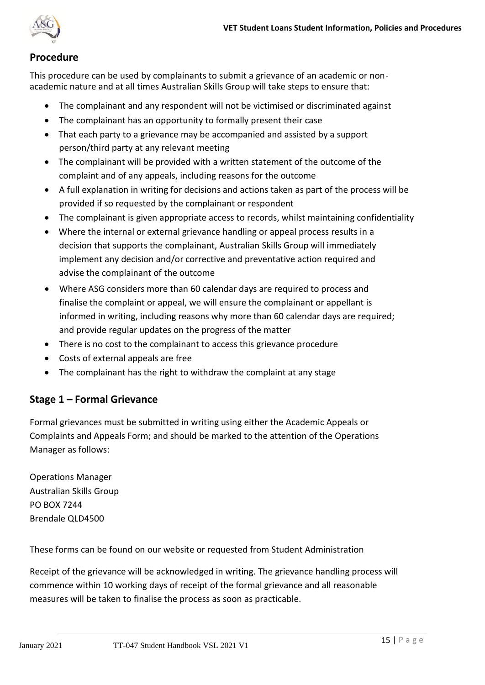

# **Procedure**

This procedure can be used by complainants to submit a grievance of an academic or nonacademic nature and at all times Australian Skills Group will take steps to ensure that:

- The complainant and any respondent will not be victimised or discriminated against
- The complainant has an opportunity to formally present their case
- That each party to a grievance may be accompanied and assisted by a support person/third party at any relevant meeting
- The complainant will be provided with a written statement of the outcome of the complaint and of any appeals, including reasons for the outcome
- A full explanation in writing for decisions and actions taken as part of the process will be provided if so requested by the complainant or respondent
- The complainant is given appropriate access to records, whilst maintaining confidentiality
- Where the internal or external grievance handling or appeal process results in a decision that supports the complainant, Australian Skills Group will immediately implement any decision and/or corrective and preventative action required and advise the complainant of the outcome
- Where ASG considers more than 60 calendar days are required to process and finalise the complaint or appeal, we will ensure the complainant or appellant is informed in writing, including reasons why more than 60 calendar days are required; and provide regular updates on the progress of the matter
- There is no cost to the complainant to access this grievance procedure
- Costs of external appeals are free
- The complainant has the right to withdraw the complaint at any stage

# **Stage 1 – Formal Grievance**

Formal grievances must be submitted in writing using either the Academic Appeals or Complaints and Appeals Form; and should be marked to the attention of the Operations Manager as follows:

Operations Manager Australian Skills Group PO BOX 7244 Brendale QLD4500

These forms can be found on our website or requested from Student Administration

Receipt of the grievance will be acknowledged in writing. The grievance handling process will commence within 10 working days of receipt of the formal grievance and all reasonable measures will be taken to finalise the process as soon as practicable.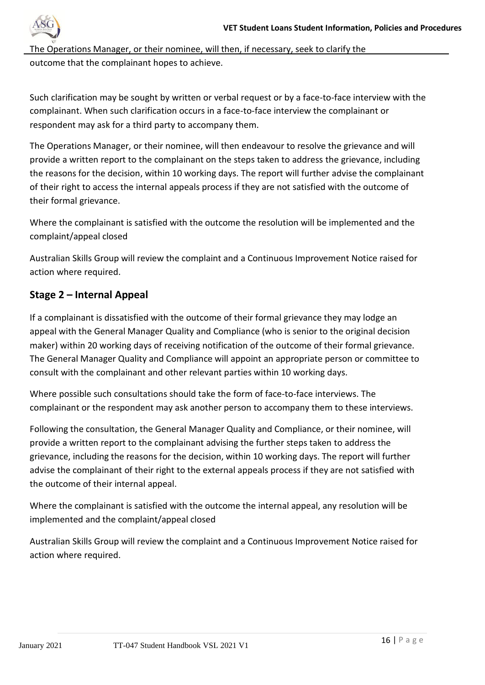

The Operations Manager, or their nominee, will then, if necessary, seek to clarify the outcome that the complainant hopes to achieve.

Such clarification may be sought by written or verbal request or by a face-to-face interview with the complainant. When such clarification occurs in a face-to-face interview the complainant or respondent may ask for a third party to accompany them.

The Operations Manager, or their nominee, will then endeavour to resolve the grievance and will provide a written report to the complainant on the steps taken to address the grievance, including the reasons for the decision, within 10 working days. The report will further advise the complainant of their right to access the internal appeals process if they are not satisfied with the outcome of their formal grievance.

Where the complainant is satisfied with the outcome the resolution will be implemented and the complaint/appeal closed

Australian Skills Group will review the complaint and a Continuous Improvement Notice raised for action where required.

# **Stage 2 – Internal Appeal**

If a complainant is dissatisfied with the outcome of their formal grievance they may lodge an appeal with the General Manager Quality and Compliance (who is senior to the original decision maker) within 20 working days of receiving notification of the outcome of their formal grievance. The General Manager Quality and Compliance will appoint an appropriate person or committee to consult with the complainant and other relevant parties within 10 working days.

Where possible such consultations should take the form of face-to-face interviews. The complainant or the respondent may ask another person to accompany them to these interviews.

Following the consultation, the General Manager Quality and Compliance, or their nominee, will provide a written report to the complainant advising the further steps taken to address the grievance, including the reasons for the decision, within 10 working days. The report will further advise the complainant of their right to the external appeals process if they are not satisfied with the outcome of their internal appeal.

Where the complainant is satisfied with the outcome the internal appeal, any resolution will be implemented and the complaint/appeal closed

Australian Skills Group will review the complaint and a Continuous Improvement Notice raised for action where required.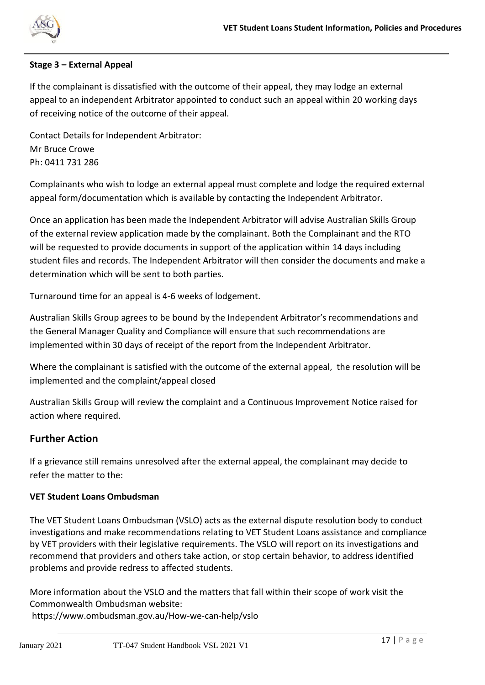

#### **Stage 3 – External Appeal**

If the complainant is dissatisfied with the outcome of their appeal, they may lodge an external appeal to an independent Arbitrator appointed to conduct such an appeal within 20 working days of receiving notice of the outcome of their appeal.

Contact Details for Independent Arbitrator: Mr Bruce Crowe Ph: 0411 731 286

Complainants who wish to lodge an external appeal must complete and lodge the required external appeal form/documentation which is available by contacting the Independent Arbitrator.

Once an application has been made the Independent Arbitrator will advise Australian Skills Group of the external review application made by the complainant. Both the Complainant and the RTO will be requested to provide documents in support of the application within 14 days including student files and records. The Independent Arbitrator will then consider the documents and make a determination which will be sent to both parties.

Turnaround time for an appeal is 4-6 weeks of lodgement.

Australian Skills Group agrees to be bound by the Independent Arbitrator's recommendations and the General Manager Quality and Compliance will ensure that such recommendations are implemented within 30 days of receipt of the report from the Independent Arbitrator.

Where the complainant is satisfied with the outcome of the external appeal, the resolution will be implemented and the complaint/appeal closed

Australian Skills Group will review the complaint and a Continuous Improvement Notice raised for action where required.

# **Further Action**

If a grievance still remains unresolved after the external appeal, the complainant may decide to refer the matter to the:

#### **VET Student Loans Ombudsman**

The VET Student Loans Ombudsman (VSLO) acts as the external dispute resolution body to conduct investigations and make recommendations relating to VET Student Loans assistance and compliance by VET providers with their legislative requirements. The VSLO will report on its investigations and recommend that providers and others take action, or stop certain behavior, to address identified problems and provide redress to affected students.

More information about the VSLO and the matters that fall within their scope of work visit the Commonwealth Ombudsman website:

<https://www.ombudsman.gov.au/How-we-can-help/vslo>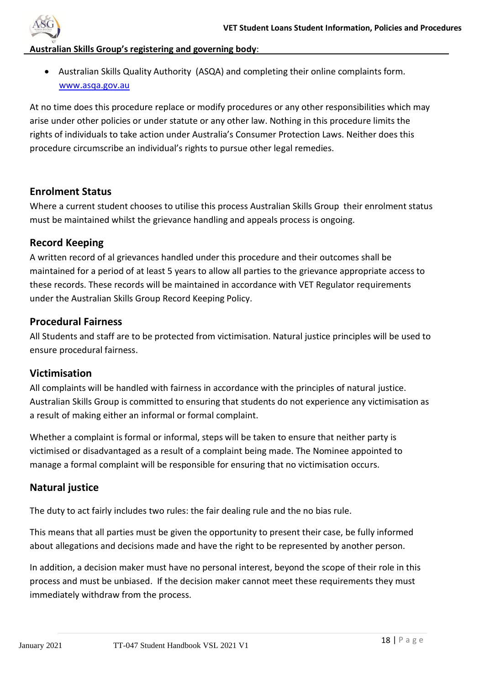

#### **Australian Skills Group's registering and governing body**:

• Australian Skills Quality Authority (ASQA) and completing their online complaints form. [www.asqa.gov.au](http://www.asqa.gov.au/)

At no time does this procedure replace or modify procedures or any other responsibilities which may arise under other policies or under statute or any other law. Nothing in this procedure limits the rights of individuals to take action under Australia's Consumer Protection Laws. Neither does this procedure circumscribe an individual's rights to pursue other legal remedies.

#### **Enrolment Status**

Where a current student chooses to utilise this process Australian Skills Group their enrolment status must be maintained whilst the grievance handling and appeals process is ongoing.

#### **Record Keeping**

A written record of al grievances handled under this procedure and their outcomes shall be maintained for a period of at least 5 years to allow all parties to the grievance appropriate access to these records. These records will be maintained in accordance with VET Regulator requirements under the Australian Skills Group Record Keeping Policy.

#### **Procedural Fairness**

All Students and staff are to be protected from victimisation. Natural justice principles will be used to ensure procedural fairness.

#### **Victimisation**

All complaints will be handled with fairness in accordance with the principles of natural justice. Australian Skills Group is committed to ensuring that students do not experience any victimisation as a result of making either an informal or formal complaint.

Whether a complaint is formal or informal, steps will be taken to ensure that neither party is victimised or disadvantaged as a result of a complaint being made. The Nominee appointed to manage a formal complaint will be responsible for ensuring that no victimisation occurs.

# **Natural justice**

The duty to act fairly includes two rules: the fair dealing rule and the no bias rule.

This means that all parties must be given the opportunity to present their case, be fully informed about allegations and decisions made and have the right to be represented by another person.

In addition, a decision maker must have no personal interest, beyond the scope of their role in this process and must be unbiased. If the decision maker cannot meet these requirements they must immediately withdraw from the process.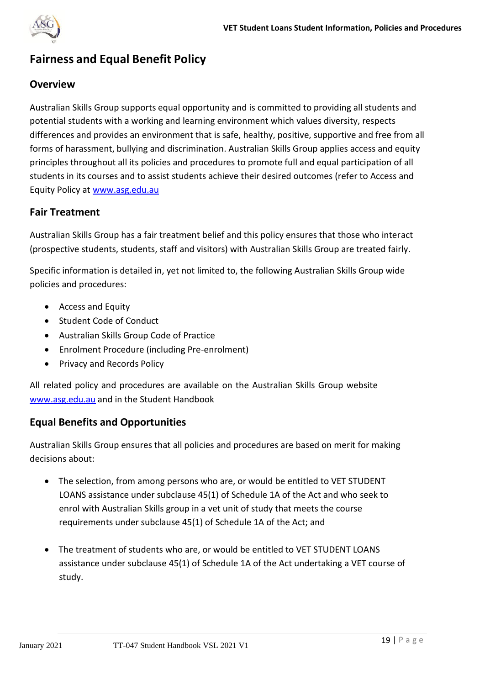

# **Fairness and Equal Benefit Policy**

# **Overview**

Australian Skills Group supports equal opportunity and is committed to providing all students and potential students with a working and learning environment which values diversity, respects differences and provides an environment that is safe, healthy, positive, supportive and free from all forms of harassment, bullying and discrimination. Australian Skills Group applies access and equity principles throughout all its policies and procedures to promote full and equal participation of all students in its courses and to assist students achieve their desired outcomes (refer to Access and Equity Policy at [www.asg.edu.au](http://www.asg.edu.au/)

#### **Fair Treatment**

Australian Skills Group has a fair treatment belief and this policy ensures that those who interact (prospective students, students, staff and visitors) with Australian Skills Group are treated fairly.

Specific information is detailed in, yet not limited to, the following Australian Skills Group wide policies and procedures:

- Access and Equity
- Student Code of Conduct
- Australian Skills Group Code of Practice
- Enrolment Procedure (including Pre-enrolment)
- Privacy and Records Policy

All related policy and procedures are available on the Australian Skills Group website [www.asg.edu.au](http://www.asg.edu.au/) and in the Student Handbook

#### **Equal Benefits and Opportunities**

Australian Skills Group ensures that all policies and procedures are based on merit for making decisions about:

- The selection, from among persons who are, or would be entitled to VET STUDENT LOANS assistance under subclause 45(1) of Schedule 1A of the Act and who seek to enrol with Australian Skills group in a vet unit of study that meets the course requirements under subclause 45(1) of Schedule 1A of the Act; and
- The treatment of students who are, or would be entitled to VET STUDENT LOANS assistance under subclause 45(1) of Schedule 1A of the Act undertaking a VET course of study.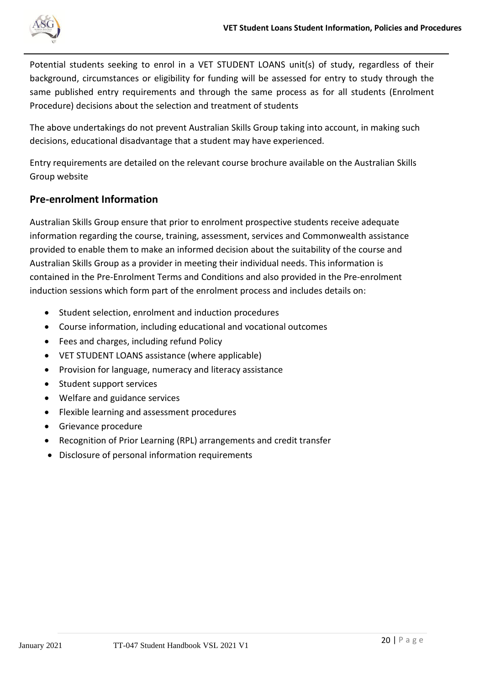

Potential students seeking to enrol in a VET STUDENT LOANS unit(s) of study, regardless of their background, circumstances or eligibility for funding will be assessed for entry to study through the same published entry requirements and through the same process as for all students (Enrolment Procedure) decisions about the selection and treatment of students

The above undertakings do not prevent Australian Skills Group taking into account, in making such decisions, educational disadvantage that a student may have experienced.

Entry requirements are detailed on the relevant course brochure available on the Australian Skills Group website

# **Pre-enrolment Information**

Australian Skills Group ensure that prior to enrolment prospective students receive adequate information regarding the course, training, assessment, services and Commonwealth assistance provided to enable them to make an informed decision about the suitability of the course and Australian Skills Group as a provider in meeting their individual needs. This information is contained in the Pre-Enrolment Terms and Conditions and also provided in the Pre-enrolment induction sessions which form part of the enrolment process and includes details on:

- Student selection, enrolment and induction procedures
- Course information, including educational and vocational outcomes
- Fees and charges, including refund Policy
- VET STUDENT LOANS assistance (where applicable)
- Provision for language, numeracy and literacy assistance
- Student support services
- Welfare and guidance services
- Flexible learning and assessment procedures
- Grievance procedure
- Recognition of Prior Learning (RPL) arrangements and credit transfer
- Disclosure of personal information requirements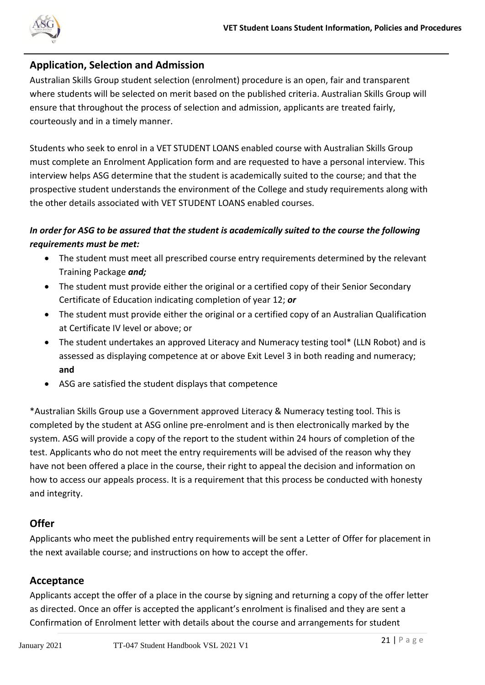

### **Application, Selection and Admission**

Australian Skills Group student selection (enrolment) procedure is an open, fair and transparent where students will be selected on merit based on the published criteria. Australian Skills Group will ensure that throughout the process of selection and admission, applicants are treated fairly, courteously and in a timely manner.

Students who seek to enrol in a VET STUDENT LOANS enabled course with Australian Skills Group must complete an Enrolment Application form and are requested to have a personal interview. This interview helps ASG determine that the student is academically suited to the course; and that the prospective student understands the environment of the College and study requirements along with the other details associated with VET STUDENT LOANS enabled courses.

# *In order for ASG to be assured that the student is academically suited to the course the following requirements must be met:*

- The student must meet all prescribed course entry requirements determined by the relevant Training Package *and;*
- The student must provide either the original or a certified copy of their Senior Secondary Certificate of Education indicating completion of year 12; *or*
- The student must provide either the original or a certified copy of an Australian Qualification at Certificate IV level or above; or
- The student undertakes an approved Literacy and Numeracy testing tool\* (LLN Robot) and is assessed as displaying competence at or above Exit Level 3 in both reading and numeracy; **and**
- ASG are satisfied the student displays that competence

\*Australian Skills Group use a Government approved Literacy & Numeracy testing tool. This is completed by the student at ASG online pre-enrolment and is then electronically marked by the system. ASG will provide a copy of the report to the student within 24 hours of completion of the test. Applicants who do not meet the entry requirements will be advised of the reason why they have not been offered a place in the course, their right to appeal the decision and information on how to access our appeals process. It is a requirement that this process be conducted with honesty and integrity.

# **Offer**

Applicants who meet the published entry requirements will be sent a Letter of Offer for placement in the next available course; and instructions on how to accept the offer.

# **Acceptance**

Applicants accept the offer of a place in the course by signing and returning a copy of the offer letter as directed. Once an offer is accepted the applicant's enrolment is finalised and they are sent a Confirmation of Enrolment letter with details about the course and arrangements for student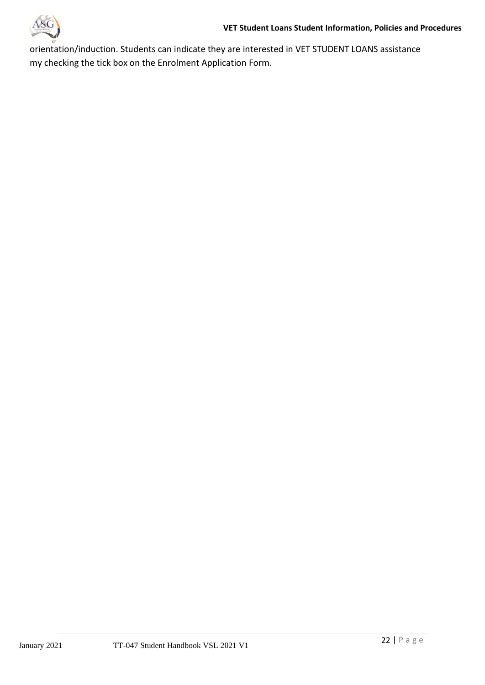

orientation/induction. Students can indicate they are interested in VET STUDENT LOANS assistance my checking the tick box on the Enrolment Application Form.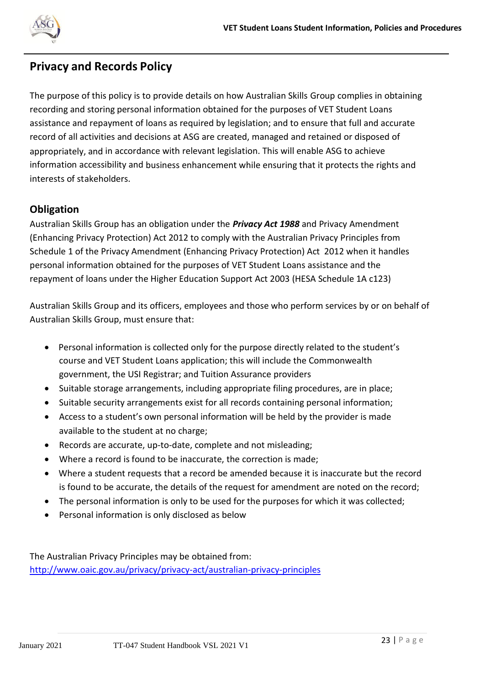

# **Privacy and Records Policy**

The purpose of this policy is to provide details on how Australian Skills Group complies in obtaining recording and storing personal information obtained for the purposes of VET Student Loans assistance and repayment of loans as required by legislation; and to ensure that full and accurate record of all activities and decisions at ASG are created, managed and retained or disposed of appropriately, and in accordance with relevant legislation. This will enable ASG to achieve information accessibility and business enhancement while ensuring that it protects the rights and interests of stakeholders.

# **Obligation**

Australian Skills Group has an obligation under the *Privacy Act 1988* and Privacy Amendment (Enhancing Privacy Protection) Act 2012 to comply with the Australian Privacy Principles from Schedule 1 of the Privacy Amendment (Enhancing Privacy Protection) Act 2012 when it handles personal information obtained for the purposes of VET Student Loans assistance and the repayment of loans under the Higher Education Support Act 2003 (HESA Schedule 1A c123)

Australian Skills Group and its officers, employees and those who perform services by or on behalf of Australian Skills Group, must ensure that:

- Personal information is collected only for the purpose directly related to the student's course and VET Student Loans application; this will include the Commonwealth government, the USI Registrar; and Tuition Assurance providers
- Suitable storage arrangements, including appropriate filing procedures, are in place;
- Suitable security arrangements exist for all records containing personal information;
- Access to a student's own personal information will be held by the provider is made available to the student at no charge;
- Records are accurate, up-to-date, complete and not misleading;
- Where a record is found to be inaccurate, the correction is made;
- Where a student requests that a record be amended because it is inaccurate but the record is found to be accurate, the details of the request for amendment are noted on the record;
- The personal information is only to be used for the purposes for which it was collected;
- Personal information is only disclosed as below

The Australian Privacy Principles may be obtained from: <http://www.oaic.gov.au/privacy/privacy-act/australian-privacy-principles>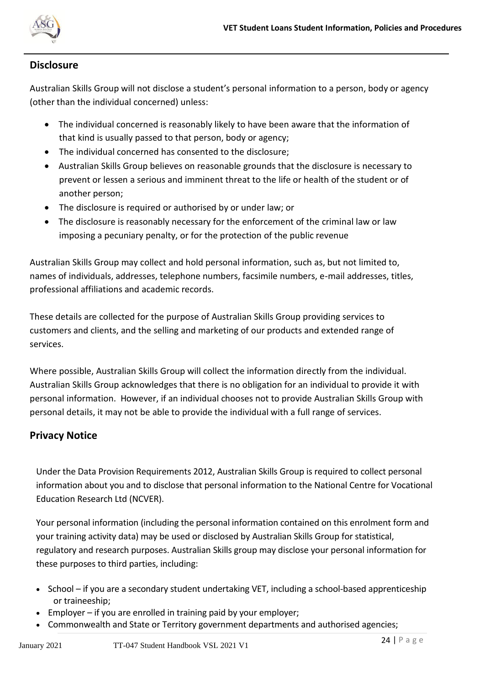

### **Disclosure**

Australian Skills Group will not disclose a student's personal information to a person, body or agency (other than the individual concerned) unless:

- The individual concerned is reasonably likely to have been aware that the information of that kind is usually passed to that person, body or agency;
- The individual concerned has consented to the disclosure;
- Australian Skills Group believes on reasonable grounds that the disclosure is necessary to prevent or lessen a serious and imminent threat to the life or health of the student or of another person;
- The disclosure is required or authorised by or under law; or
- The disclosure is reasonably necessary for the enforcement of the criminal law or law imposing a pecuniary penalty, or for the protection of the public revenue

Australian Skills Group may collect and hold personal information, such as, but not limited to, names of individuals, addresses, telephone numbers, facsimile numbers, e-mail addresses, titles, professional affiliations and academic records.

These details are collected for the purpose of Australian Skills Group providing services to customers and clients, and the selling and marketing of our products and extended range of services.

Where possible, Australian Skills Group will collect the information directly from the individual. Australian Skills Group acknowledges that there is no obligation for an individual to provide it with personal information. However, if an individual chooses not to provide Australian Skills Group with personal details, it may not be able to provide the individual with a full range of services.

# **Privacy Notice**

Under the Data Provision Requirements 2012, Australian Skills Group is required to collect personal information about you and to disclose that personal information to the National Centre for Vocational Education Research Ltd (NCVER).

Your personal information (including the personal information contained on this enrolment form and your training activity data) may be used or disclosed by Australian Skills Group for statistical, regulatory and research purposes. Australian Skills group may disclose your personal information for these purposes to third parties, including:

- School if you are a secondary student undertaking VET, including a school-based apprenticeship or traineeship;
- Employer if you are enrolled in training paid by your employer;
- Commonwealth and State or Territory government departments and authorised agencies;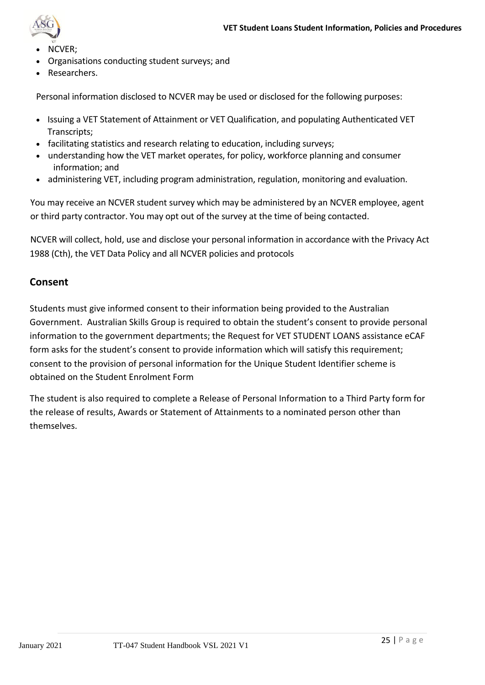

- NCVER;
- Organisations conducting student surveys; and
- Researchers.

Personal information disclosed to NCVER may be used or disclosed for the following purposes:

- Issuing a VET Statement of Attainment or VET Qualification, and populating Authenticated VET Transcripts;
- facilitating statistics and research relating to education, including surveys;
- understanding how the VET market operates, for policy, workforce planning and consumer information; and
- administering VET, including program administration, regulation, monitoring and evaluation.

You may receive an NCVER student survey which may be administered by an NCVER employee, agent or third party contractor. You may opt out of the survey at the time of being contacted.

NCVER will collect, hold, use and disclose your personal information in accordance with the Privacy Act 1988 (Cth), the VET Data Policy and all NCVER policies and protocols

#### **Consent**

Students must give informed consent to their information being provided to the Australian Government. Australian Skills Group is required to obtain the student's consent to provide personal information to the government departments; the Request for VET STUDENT LOANS assistance eCAF form asks for the student's consent to provide information which will satisfy this requirement; consent to the provision of personal information for the Unique Student Identifier scheme is obtained on the Student Enrolment Form

The student is also required to complete a Release of Personal Information to a Third Party form for the release of results, Awards or Statement of Attainments to a nominated person other than themselves.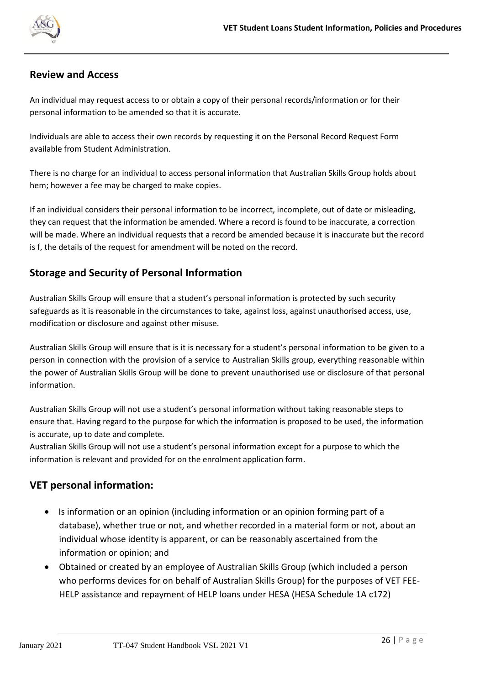

#### **Review and Access**

An individual may request access to or obtain a copy of their personal records/information or for their personal information to be amended so that it is accurate.

Individuals are able to access their own records by requesting it on the Personal Record Request Form available from Student Administration.

There is no charge for an individual to access personal information that Australian Skills Group holds about hem; however a fee may be charged to make copies.

If an individual considers their personal information to be incorrect, incomplete, out of date or misleading, they can request that the information be amended. Where a record is found to be inaccurate, a correction will be made. Where an individual requests that a record be amended because it is inaccurate but the record is f, the details of the request for amendment will be noted on the record.

# **Storage and Security of Personal Information**

Australian Skills Group will ensure that a student's personal information is protected by such security safeguards as it is reasonable in the circumstances to take, against loss, against unauthorised access, use, modification or disclosure and against other misuse.

Australian Skills Group will ensure that is it is necessary for a student's personal information to be given to a person in connection with the provision of a service to Australian Skills group, everything reasonable within the power of Australian Skills Group will be done to prevent unauthorised use or disclosure of that personal information.

Australian Skills Group will not use a student's personal information without taking reasonable steps to ensure that. Having regard to the purpose for which the information is proposed to be used, the information is accurate, up to date and complete.

Australian Skills Group will not use a student's personal information except for a purpose to which the information is relevant and provided for on the enrolment application form.

# **VET personal information:**

- Is information or an opinion (including information or an opinion forming part of a database), whether true or not, and whether recorded in a material form or not, about an individual whose identity is apparent, or can be reasonably ascertained from the information or opinion; and
- Obtained or created by an employee of Australian Skills Group (which included a person who performs devices for on behalf of Australian Skills Group) for the purposes of VET FEE-HELP assistance and repayment of HELP loans under HESA (HESA Schedule 1A c172)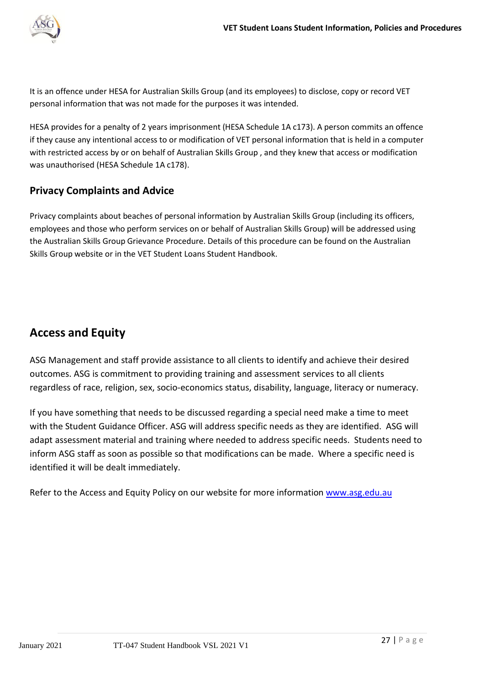

It is an offence under HESA for Australian Skills Group (and its employees) to disclose, copy or record VET personal information that was not made for the purposes it was intended.

HESA provides for a penalty of 2 years imprisonment (HESA Schedule 1A c173). A person commits an offence if they cause any intentional access to or modification of VET personal information that is held in a computer with restricted access by or on behalf of Australian Skills Group , and they knew that access or modification was unauthorised (HESA Schedule 1A c178).

# **Privacy Complaints and Advice**

Privacy complaints about beaches of personal information by Australian Skills Group (including its officers, employees and those who perform services on or behalf of Australian Skills Group) will be addressed using the Australian Skills Group Grievance Procedure. Details of this procedure can be found on the Australian Skills Group website or in the VET Student Loans Student Handbook.

# **Access and Equity**

ASG Management and staff provide assistance to all clients to identify and achieve their desired outcomes. ASG is commitment to providing training and assessment services to all clients regardless of race, religion, sex, socio-economics status, disability, language, literacy or numeracy.

If you have something that needs to be discussed regarding a special need make a time to meet with the Student Guidance Officer. ASG will address specific needs as they are identified. ASG will adapt assessment material and training where needed to address specific needs. Students need to inform ASG staff as soon as possible so that modifications can be made. Where a specific need is identified it will be dealt immediately.

Refer to the Access and Equity Policy on our website for more information www.asg.edu.au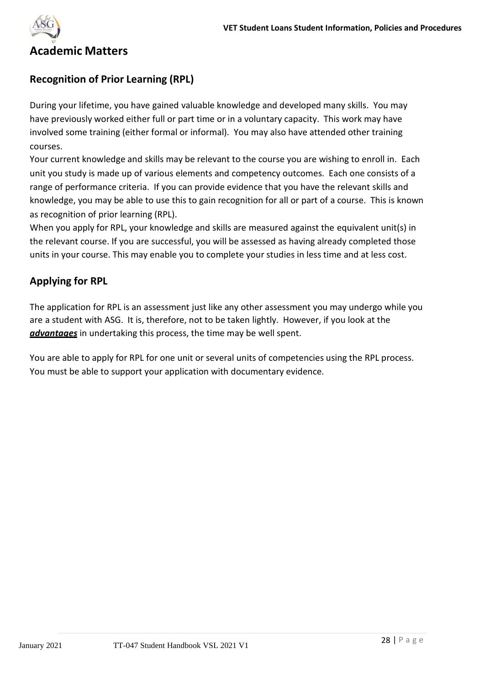

# **Academic Matters**

### **Recognition of Prior Learning (RPL)**

During your lifetime, you have gained valuable knowledge and developed many skills. You may have previously worked either full or part time or in a voluntary capacity. This work may have involved some training (either formal or informal). You may also have attended other training courses.

Your current knowledge and skills may be relevant to the course you are wishing to enroll in. Each unit you study is made up of various elements and competency outcomes. Each one consists of a range of performance criteria. If you can provide evidence that you have the relevant skills and knowledge, you may be able to use this to gain recognition for all or part of a course. This is known as recognition of prior learning (RPL).

When you apply for RPL, your knowledge and skills are measured against the equivalent unit(s) in the relevant course. If you are successful, you will be assessed as having already completed those units in your course. This may enable you to complete your studies in less time and at less cost.

# **Applying for RPL**

The application for RPL is an assessment just like any other assessment you may undergo while you are a student with ASG. It is, therefore, not to be taken lightly. However, if you look at the *advantages* in undertaking this process, the time may be well spent.

You are able to apply for RPL for one unit or several units of competencies using the RPL process. You must be able to support your application with documentary evidence.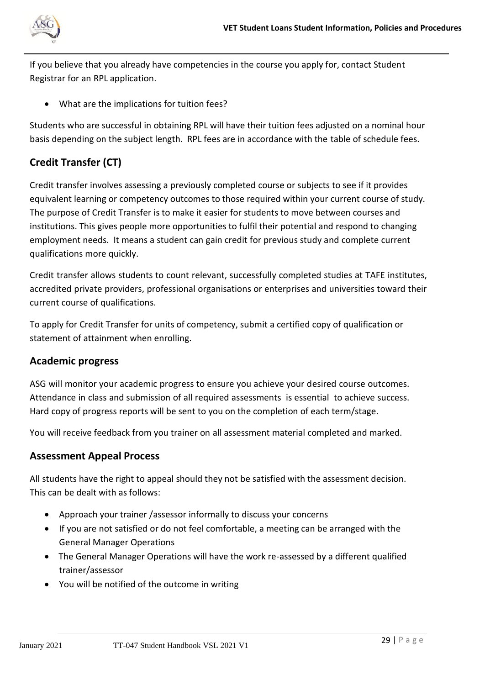

If you believe that you already have competencies in the course you apply for, contact Student Registrar for an RPL application.

• What are the implications for tuition fees?

Students who are successful in obtaining RPL will have their tuition fees adjusted on a nominal hour basis depending on the subject length. RPL fees are in accordance with the table of schedule fees.

# **Credit Transfer (CT)**

Credit transfer involves assessing a previously completed course or subjects to see if it provides equivalent learning or competency outcomes to those required within your current course of study. The purpose of Credit Transfer is to make it easier for students to move between courses and institutions. This gives people more opportunities to fulfil their potential and respond to changing employment needs. It means a student can gain credit for previous study and complete current qualifications more quickly.

Credit transfer allows students to count relevant, successfully completed studies at TAFE institutes, accredited private providers, professional organisations or enterprises and universities toward their current course of qualifications.

To apply for Credit Transfer for units of competency, submit a certified copy of qualification or statement of attainment when enrolling.

#### **Academic progress**

ASG will monitor your academic progress to ensure you achieve your desired course outcomes. Attendance in class and submission of all required assessments is essential to achieve success. Hard copy of progress reports will be sent to you on the completion of each term/stage.

You will receive feedback from you trainer on all assessment material completed and marked.

#### **Assessment Appeal Process**

All students have the right to appeal should they not be satisfied with the assessment decision. This can be dealt with as follows:

- Approach your trainer /assessor informally to discuss your concerns
- If you are not satisfied or do not feel comfortable, a meeting can be arranged with the General Manager Operations
- The General Manager Operations will have the work re-assessed by a different qualified trainer/assessor
- You will be notified of the outcome in writing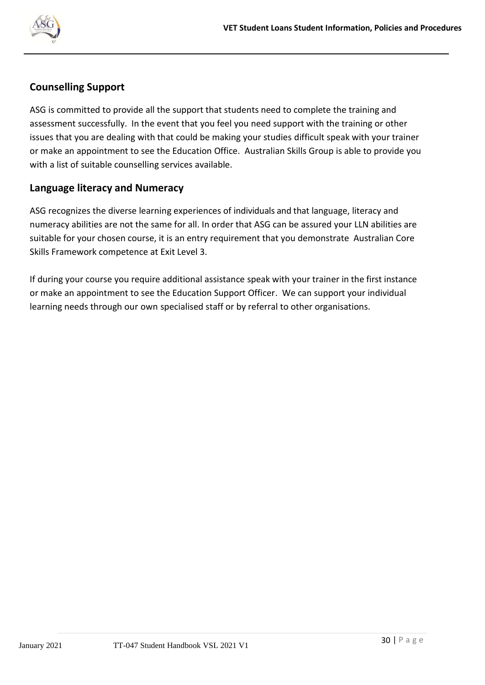

# **Counselling Support**

ASG is committed to provide all the support that students need to complete the training and assessment successfully. In the event that you feel you need support with the training or other issues that you are dealing with that could be making your studies difficult speak with your trainer or make an appointment to see the Education Office. Australian Skills Group is able to provide you with a list of suitable counselling services available.

# **Language literacy and Numeracy**

ASG recognizes the diverse learning experiences of individuals and that language, literacy and numeracy abilities are not the same for all. In order that ASG can be assured your LLN abilities are suitable for your chosen course, it is an entry requirement that you demonstrate Australian Core Skills Framework competence at Exit Level 3.

If during your course you require additional assistance speak with your trainer in the first instance or make an appointment to see the Education Support Officer. We can support your individual learning needs through our own specialised staff or by referral to other organisations.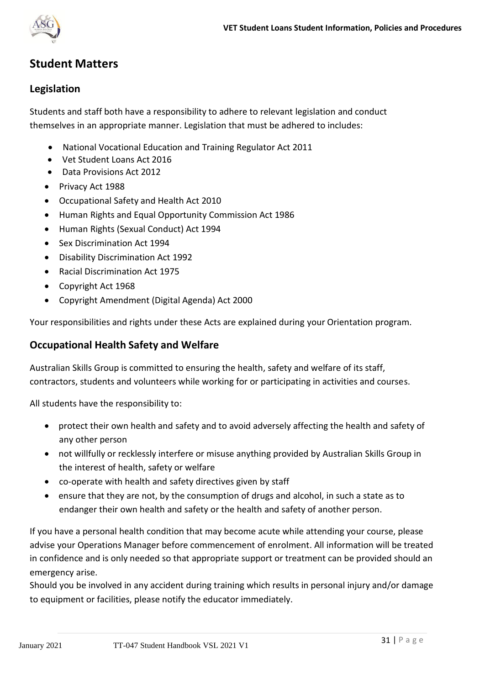

# **Student Matters**

### **Legislation**

Students and staff both have a responsibility to adhere to relevant legislation and conduct themselves in an appropriate manner. Legislation that must be adhered to includes:

- National Vocational Education and Training Regulator Act 2011
- Vet Student Loans Act 2016
- Data Provisions Act 2012
- Privacy Act 1988
- Occupational Safety and Health Act 2010
- Human Rights and Equal Opportunity Commission Act 1986
- Human Rights (Sexual Conduct) Act 1994
- Sex Discrimination Act 1994
- Disability Discrimination Act 1992
- Racial Discrimination Act 1975
- Copyright Act 1968
- Copyright Amendment (Digital Agenda) Act 2000

Your responsibilities and rights under these Acts are explained during your Orientation program.

#### **Occupational Health Safety and Welfare**

Australian Skills Group is committed to ensuring the health, safety and welfare of its staff, contractors, students and volunteers while working for or participating in activities and courses.

All students have the responsibility to:

- protect their own health and safety and to avoid adversely affecting the health and safety of any other person
- not willfully or recklessly interfere or misuse anything provided by Australian Skills Group in the interest of health, safety or welfare
- co-operate with health and safety directives given by staff
- ensure that they are not, by the consumption of drugs and alcohol, in such a state as to endanger their own health and safety or the health and safety of another person.

If you have a personal health condition that may become acute while attending your course, please advise your Operations Manager before commencement of enrolment. All information will be treated in confidence and is only needed so that appropriate support or treatment can be provided should an emergency arise.

Should you be involved in any accident during training which results in personal injury and/or damage to equipment or facilities, please notify the educator immediately.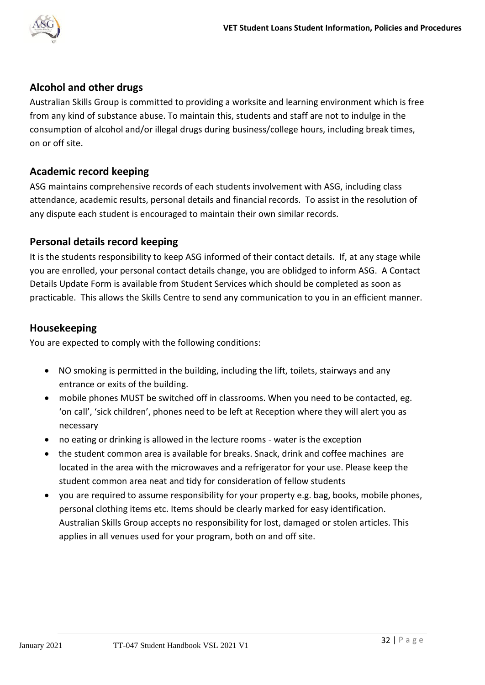

# **Alcohol and other drugs**

Australian Skills Group is committed to providing a worksite and learning environment which is free from any kind of substance abuse. To maintain this, students and staff are not to indulge in the consumption of alcohol and/or illegal drugs during business/college hours, including break times, on or off site.

# **Academic record keeping**

ASG maintains comprehensive records of each students involvement with ASG, including class attendance, academic results, personal details and financial records. To assist in the resolution of any dispute each student is encouraged to maintain their own similar records.

# **Personal details record keeping**

It is the students responsibility to keep ASG informed of their contact details. If, at any stage while you are enrolled, your personal contact details change, you are oblidged to inform ASG. A Contact Details Update Form is available from Student Services which should be completed as soon as practicable. This allows the Skills Centre to send any communication to you in an efficient manner.

# **Housekeeping**

You are expected to comply with the following conditions:

- NO smoking is permitted in the building, including the lift, toilets, stairways and any entrance or exits of the building.
- mobile phones MUST be switched off in classrooms. When you need to be contacted, eg. 'on call', 'sick children', phones need to be left at Reception where they will alert you as necessary
- no eating or drinking is allowed in the lecture rooms water is the exception
- the student common area is available for breaks. Snack, drink and coffee machines are located in the area with the microwaves and a refrigerator for your use. Please keep the student common area neat and tidy for consideration of fellow students
- you are required to assume responsibility for your property e.g. bag, books, mobile phones, personal clothing items etc. Items should be clearly marked for easy identification. Australian Skills Group accepts no responsibility for lost, damaged or stolen articles. This applies in all venues used for your program, both on and off site.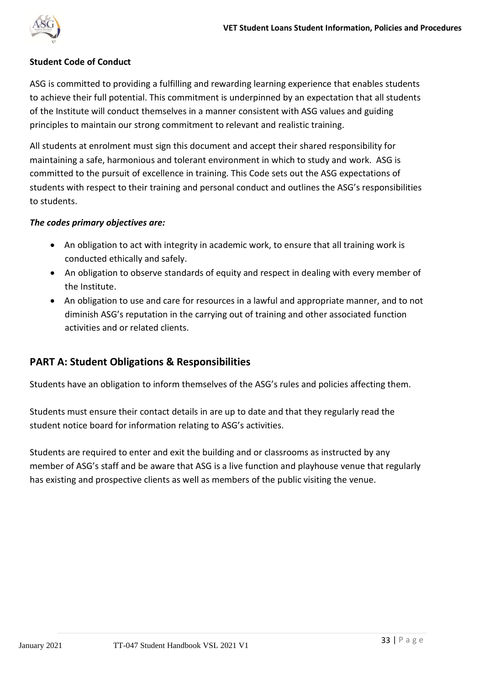

#### **Student Code of Conduct**

ASG is committed to providing a fulfilling and rewarding learning experience that enables students to achieve their full potential. This commitment is underpinned by an expectation that all students of the Institute will conduct themselves in a manner consistent with ASG values and guiding principles to maintain our strong commitment to relevant and realistic training.

All students at enrolment must sign this document and accept their shared responsibility for maintaining a safe, harmonious and tolerant environment in which to study and work. ASG is committed to the pursuit of excellence in training. This Code sets out the ASG expectations of students with respect to their training and personal conduct and outlines the ASG's responsibilities to students.

#### *The codes primary objectives are:*

- An obligation to act with integrity in academic work, to ensure that all training work is conducted ethically and safely.
- An obligation to observe standards of equity and respect in dealing with every member of the Institute.
- An obligation to use and care for resources in a lawful and appropriate manner, and to not diminish ASG's reputation in the carrying out of training and other associated function activities and or related clients.

#### **PART A: Student Obligations & Responsibilities**

Students have an obligation to inform themselves of the ASG's rules and policies affecting them.

Students must ensure their contact details in are up to date and that they regularly read the student notice board for information relating to ASG's activities.

Students are required to enter and exit the building and or classrooms as instructed by any member of ASG's staff and be aware that ASG is a live function and playhouse venue that regularly has existing and prospective clients as well as members of the public visiting the venue.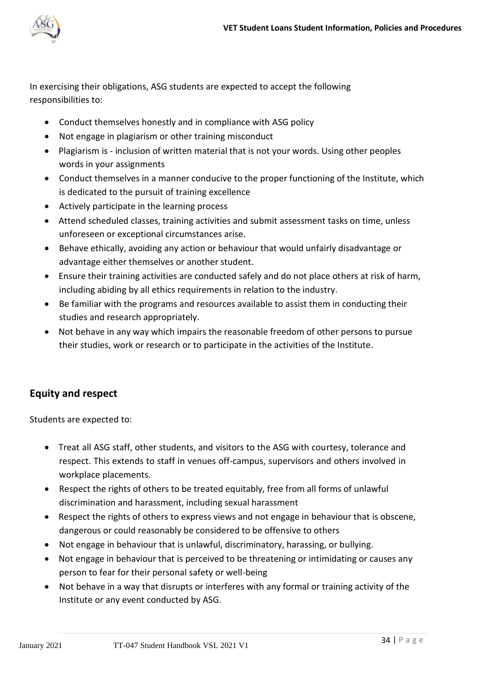

In exercising their obligations, ASG students are expected to accept the following responsibilities to:

- Conduct themselves honestly and in compliance with ASG policy
- Not engage in plagiarism or other training misconduct
- Plagiarism is inclusion of written material that is not your words. Using other peoples words in your assignments
- Conduct themselves in a manner conducive to the proper functioning of the Institute, which is dedicated to the pursuit of training excellence
- Actively participate in the learning process
- Attend scheduled classes, training activities and submit assessment tasks on time, unless unforeseen or exceptional circumstances arise.
- Behave ethically, avoiding any action or behaviour that would unfairly disadvantage or advantage either themselves or another student.
- Ensure their training activities are conducted safely and do not place others at risk of harm, including abiding by all ethics requirements in relation to the industry.
- Be familiar with the programs and resources available to assist them in conducting their studies and research appropriately.
- Not behave in any way which impairs the reasonable freedom of other persons to pursue their studies, work or research or to participate in the activities of the Institute.

# **Equity and respect**

Students are expected to:

- Treat all ASG staff, other students, and visitors to the ASG with courtesy, tolerance and respect. This extends to staff in venues off-campus, supervisors and others involved in workplace placements.
- Respect the rights of others to be treated equitably, free from all forms of unlawful discrimination and harassment, including sexual harassment
- Respect the rights of others to express views and not engage in behaviour that is obscene, dangerous or could reasonably be considered to be offensive to others
- Not engage in behaviour that is unlawful, discriminatory, harassing, or bullying.
- Not engage in behaviour that is perceived to be threatening or intimidating or causes any person to fear for their personal safety or well-being
- Not behave in a way that disrupts or interferes with any formal or training activity of the Institute or any event conducted by ASG.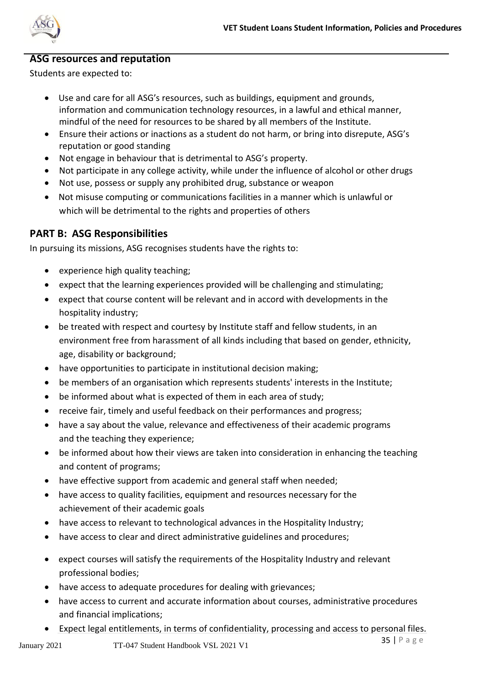

#### **ASG resources and reputation**

Students are expected to:

- Use and care for all ASG's resources, such as buildings, equipment and grounds, information and communication technology resources, in a lawful and ethical manner, mindful of the need for resources to be shared by all members of the Institute.
- Ensure their actions or inactions as a student do not harm, or bring into disrepute, ASG's reputation or good standing
- Not engage in behaviour that is detrimental to ASG's property.
- Not participate in any college activity, while under the influence of alcohol or other drugs
- Not use, possess or supply any prohibited drug, substance or weapon
- Not misuse computing or communications facilities in a manner which is unlawful or which will be detrimental to the rights and properties of others

# **PART B: ASG Responsibilities**

In pursuing its missions, ASG recognises students have the rights to:

- experience high quality teaching;
- expect that the learning experiences provided will be challenging and stimulating;
- expect that course content will be relevant and in accord with developments in the hospitality industry;
- be treated with respect and courtesy by Institute staff and fellow students, in an environment free from harassment of all kinds including that based on gender, ethnicity, age, disability or background;
- have opportunities to participate in institutional decision making;
- be members of an organisation which represents students' interests in the Institute;
- be informed about what is expected of them in each area of study;
- receive fair, timely and useful feedback on their performances and progress;
- have a say about the value, relevance and effectiveness of their academic programs and the teaching they experience;
- be informed about how their views are taken into consideration in enhancing the teaching and content of programs;
- have effective support from academic and general staff when needed;
- have access to quality facilities, equipment and resources necessary for the achievement of their academic goals
- have access to relevant to technological advances in the Hospitality Industry;
- have access to clear and direct administrative guidelines and procedures;
- expect courses will satisfy the requirements of the Hospitality Industry and relevant professional bodies;
- have access to adequate procedures for dealing with grievances;
- have access to current and accurate information about courses, administrative procedures and financial implications;
- Expect legal entitlements, in terms of confidentiality, processing and access to personal files.